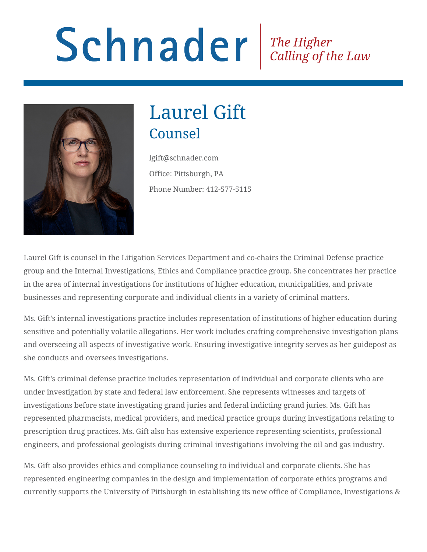# Schnader Fine Higher Calling of the Law



# Laurel Gift Counsel

lgift@schnader.com Office: Pittsburgh, PA Phone Number: 412-577-5115

Laurel Gift is counsel in the Litigation Services Department and co-chairs the Criminal Defense practice group and the Internal Investigations, Ethics and Compliance practice group. She concentrates her practice in the area of internal investigations for institutions of higher education, municipalities, and private businesses and representing corporate and individual clients in a variety of criminal matters.

Ms. Gift's internal investigations practice includes representation of institutions of higher education during sensitive and potentially volatile allegations. Her work includes crafting comprehensive investigation plans and overseeing all aspects of investigative work. Ensuring investigative integrity serves as her guidepost as she conducts and oversees investigations.

Ms. Gift's criminal defense practice includes representation of individual and corporate clients who are under investigation by state and federal law enforcement. She represents witnesses and targets of investigations before state investigating grand juries and federal indicting grand juries. Ms. Gift has represented pharmacists, medical providers, and medical practice groups during investigations relating to prescription drug practices. Ms. Gift also has extensive experience representing scientists, professional engineers, and professional geologists during criminal investigations involving the oil and gas industry.

Ms. Gift also provides ethics and compliance counseling to individual and corporate clients. She has represented engineering companies in the design and implementation of corporate ethics programs and currently supports the University of Pittsburgh in establishing its new office of Compliance, Investigations &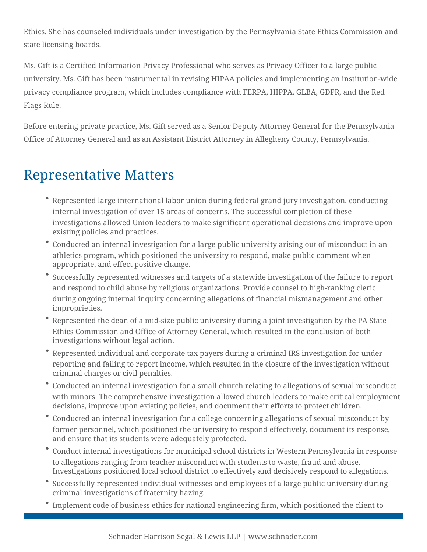Ethics. She has counseled individuals under investigation by the Pennsylvania State Ethics Commission and state licensing boards.

Ms. Gift is a Certified Information Privacy Professional who serves as Privacy Officer to a large public university. Ms. Gift has been instrumental in revising HIPAA policies and implementing an institution-wide privacy compliance program, which includes compliance with FERPA, HIPPA, GLBA, GDPR, and the Red Flags Rule.

Before entering private practice, Ms. Gift served as a Senior Deputy Attorney General for the Pennsylvania Office of Attorney General and as an Assistant District Attorney in Allegheny County, Pennsylvania.

# Representative Matters

- Represented large international labor union during federal grand jury investigation, conducting internal investigation of over 15 areas of concerns. The successful completion of these investigations allowed Union leaders to make significant operational decisions and improve upon existing policies and practices.
- Conducted an internal investigation for a large public university arising out of misconduct in an athletics program, which positioned the university to respond, make public comment when appropriate, and effect positive change.
- Successfully represented witnesses and targets of a statewide investigation of the failure to report and respond to child abuse by religious organizations. Provide counsel to high-ranking cleric during ongoing internal inquiry concerning allegations of financial mismanagement and other improprieties.
- Represented the dean of a mid-size public university during a joint investigation by the PA State Ethics Commission and Office of Attorney General, which resulted in the conclusion of both investigations without legal action.
- Represented individual and corporate tax payers during a criminal IRS investigation for under reporting and failing to report income, which resulted in the closure of the investigation without criminal charges or civil penalties.
- Conducted an internal investigation for a small church relating to allegations of sexual misconduct with minors. The comprehensive investigation allowed church leaders to make critical employment decisions, improve upon existing policies, and document their efforts to protect children.
- Conducted an internal investigation for a college concerning allegations of sexual misconduct by former personnel, which positioned the university to respond effectively, document its response, and ensure that its students were adequately protected.
- Conduct internal investigations for municipal school districts in Western Pennsylvania in response to allegations ranging from teacher misconduct with students to waste, fraud and abuse. Investigations positioned local school district to effectively and decisively respond to allegations.
- Successfully represented individual witnesses and employees of a large public university during criminal investigations of fraternity hazing.
- Implement code of business ethics for national engineering firm, which positioned the client to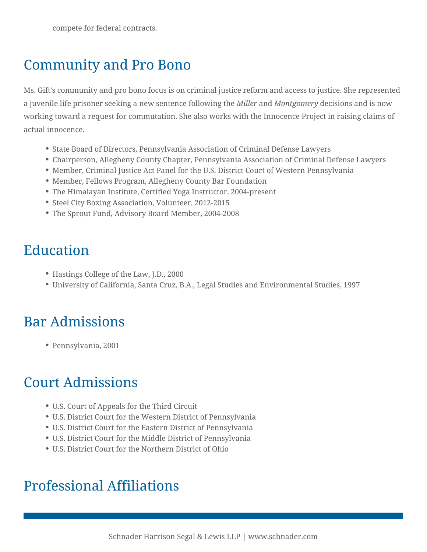# Community and Pro Bono

Ms. Gift's community and pro bono focus is on criminal justice reform and access to justice. She represented a juvenile life prisoner seeking a new sentence following the *Miller* and *Montgomery* decisions and is now working toward a request for commutation. She also works with the Innocence Project in raising claims of actual innocence.

- State Board of Directors, Pennsylvania Association of Criminal Defense Lawyers
- Chairperson, Allegheny County Chapter, Pennsylvania Association of Criminal Defense Lawyers
- Member, Criminal Justice Act Panel for the U.S. District Court of Western Pennsylvania
- Member, Fellows Program, Allegheny County Bar Foundation
- The Himalayan Institute, Certified Yoga Instructor, 2004-present
- Steel City Boxing Association, Volunteer, 2012-2015
- The Sprout Fund, Advisory Board Member, 2004-2008

# Education

- Hastings College of the Law, J.D., 2000
- University of California, Santa Cruz, B.A., Legal Studies and Environmental Studies, 1997

# Bar Admissions

Pennsylvania, 2001

#### Court Admissions

- U.S. Court of Appeals for the Third Circuit
- U.S. District Court for the Western District of Pennsylvania
- U.S. District Court for the Eastern District of Pennsylvania
- U.S. District Court for the Middle District of Pennsylvania
- U.S. District Court for the Northern District of Ohio

#### Professional Affiliations